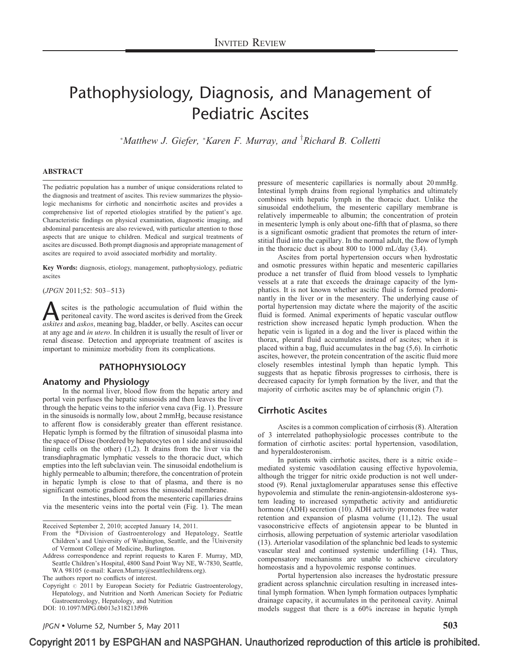# Pathophysiology, Diagnosis, and Management of Pediatric Ascites

 $^*$ Matthew J. Giefer,  $^*$ Karen F. Murray, and  $^{\dagger}$ Richard B. Colletti

#### ABSTRACT

The pediatric population has a number of unique considerations related to the diagnosis and treatment of ascites. This review summarizes the physiologic mechanisms for cirrhotic and noncirrhotic ascites and provides a comprehensive list of reported etiologies stratified by the patient's age. Characteristic findings on physical examination, diagnostic imaging, and abdominal paracentesis are also reviewed, with particular attention to those aspects that are unique to children. Medical and surgical treatments of ascites are discussed. Both prompt diagnosis and appropriate management of ascites are required to avoid associated morbidity and mortality.

Key Words: diagnosis, etiology, management, pathophysiology, pediatric ascites

(JPGN 2011;52: 503–513)

scites is the pathologic accumulation of fluid within the peritoneal cavity. The word ascites is derived from the Greek *askites* and *askos*, meaning bag, bladder, or belly. Ascites can occur peritoneal cavity. The word ascites is derived from the Greek at any age and in utero. In children it is usually the result of liver or renal disease. Detection and appropriate treatment of ascites is important to minimize morbidity from its complications.

## PATHOPHYSIOLOGY

# Anatomy and Physiology

In the normal liver, blood flow from the hepatic artery and portal vein perfuses the hepatic sinusoids and then leaves the liver through the hepatic veins to the inferior vena cava ([Fig. 1\)](#page-1-0). Pressure in the sinusoids is normally low, about 2 mmHg, because resistance to afferent flow is considerably greater than efferent resistance. Hepatic lymph is formed by the filtration of sinusoidal plasma into the space of Disse (bordered by hepatocytes on 1 side and sinusoidal lining cells on the other) [\(1,2\)](#page-6-0). It drains from the liver via the transdiaphragmatic lymphatic vessels to the thoracic duct, which empties into the left subclavian vein. The sinusoidal endothelium is highly permeable to albumin; therefore, the concentration of protein in hepatic lymph is close to that of plasma, and there is no significant osmotic gradient across the sinusoidal membrane.

In the intestines, blood from the mesenteric capillaries drains via the mesenteric veins into the portal vein [\(Fig. 1](#page-1-0)). The mean

Received September 2, 2010; accepted January 14, 2011.

- From the \*Division of Gastroenterology and Hepatology, Seattle Children's and University of Washington, Seattle, and the <sup>†</sup>University of Vermont College of Medicine, Burlington.
- Address correspondence and reprint requests to Karen F. Murray, MD, Seattle Children's Hospital, 4800 Sand Point Way NE, W-7830, Seattle, WA 98105 (e-mail: [Karen.Murray@seattlechildrens.org\)](mailto:Karen.Murray@seattlechildrens.org).

The authors report no conflicts of interest.

Copyright  $\circ$  2011 by European Society for Pediatric Gastroenterology, Hepatology, and Nutrition and North American Society for Pediatric Gastroenterology, Hepatology, and Nutrition

DOI: [10.1097/MPG.0b013e318213f9f6](http://dx.doi.org/10.1097/MPG.0b013e318213f9f6)

pressure of mesenteric capillaries is normally about 20 mmHg. Intestinal lymph drains from regional lymphatics and ultimately combines with hepatic lymph in the thoracic duct. Unlike the sinusoidal endothelium, the mesenteric capillary membrane is relatively impermeable to albumin; the concentration of protein in mesenteric lymph is only about one-fifth that of plasma, so there is a significant osmotic gradient that promotes the return of interstitial fluid into the capillary. In the normal adult, the flow of lymph in the thoracic duct is about 800 to 1000 mL/day [\(3,4\).](#page-7-0)

Ascites from portal hypertension occurs when hydrostatic and osmotic pressures within hepatic and mesenteric capillaries produce a net transfer of fluid from blood vessels to lymphatic vessels at a rate that exceeds the drainage capacity of the lymphatics. It is not known whether ascitic fluid is formed predominantly in the liver or in the mesentery. The underlying cause of portal hypertension may dictate where the majority of the ascitic fluid is formed. Animal experiments of hepatic vascular outflow restriction show increased hepatic lymph production. When the hepatic vein is ligated in a dog and the liver is placed within the thorax, pleural fluid accumulates instead of ascites; when it is placed within a bag, fluid accumulates in the bag [\(5,6\).](#page-7-0) In cirrhotic ascites, however, the protein concentration of the ascitic fluid more closely resembles intestinal lymph than hepatic lymph. This suggests that as hepatic fibrosis progresses to cirrhosis, there is decreased capacity for lymph formation by the liver, and that the majority of cirrhotic ascites may be of splanchnic origin [\(7\).](#page-7-0)

#### Cirrhotic Ascites

Ascites is a common complication of cirrhosis [\(8\).](#page-7-0) Alteration of 3 interrelated pathophysiologic processes contribute to the formation of cirrhotic ascites: portal hypertension, vasodilation, and hyperaldosteronism.

In patients with cirrhotic ascites, there is a nitric oxide– mediated systemic vasodilation causing effective hypovolemia, although the trigger for nitric oxide production is not well understood [\(9\).](#page-7-0) Renal juxtaglomerular apparatuses sense this effective hypovolemia and stimulate the renin-angiotensin-aldosterone system leading to increased sympathetic activity and antidiuretic hormone (ADH) secretion [\(10\).](#page-7-0) ADH activity promotes free water retention and expansion of plasma volume [\(11,12\).](#page-7-0) The usual vasoconstricive effects of angiotensin appear to be blunted in cirrhosis, allowing perpetuation of systemic arteriolar vasodilation [\(13\)](#page-7-0). Arteriolar vasodilation of the splanchnic bed leads to systemic vascular steal and continued systemic underfilling [\(14\)](#page-7-0). Thus, compensatory mechanisms are unable to achieve circulatory homeostasis and a hypovolemic response continues.

Portal hypertension also increases the hydrostatic pressure gradient across splanchnic circulation resulting in increased intestinal lymph formation. When lymph formation outpaces lymphatic drainage capacity, it accumulates in the peritoneal cavity. Animal models suggest that there is a 60% increase in hepatic lymph

JPGN  $\bullet$  Volume 52, Number 5, May 2011  $503$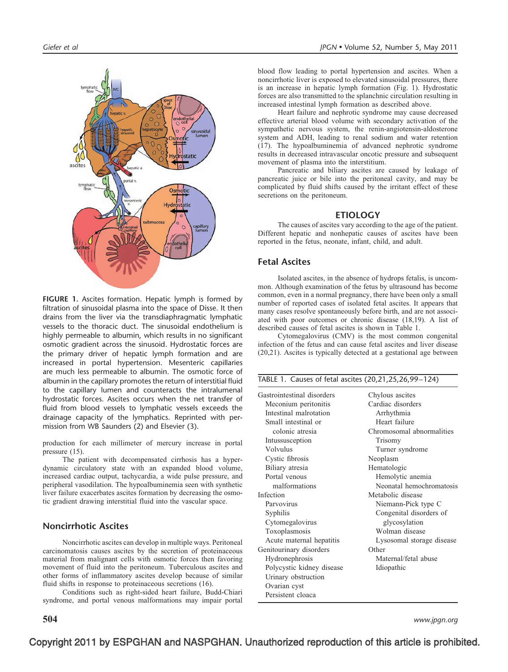<span id="page-1-0"></span>

FIGURE 1. Ascites formation. Hepatic lymph is formed by filtration of sinusoidal plasma into the space of Disse. It then drains from the liver via the transdiaphragmatic lymphatic vessels to the thoracic duct. The sinusoidal endothelium is highly permeable to albumin, which results in no significant osmotic gradient across the sinusoid. Hydrostatic forces are the primary driver of hepatic lymph formation and are increased in portal hypertension. Mesenteric capillaries are much less permeable to albumin. The osmotic force of albumin in the capillary promotes the return of interstitial fluid to the capillary lumen and counteracts the intralumenal hydrostatic forces. Ascites occurs when the net transfer of fluid from blood vessels to lymphatic vessels exceeds the drainage capacity of the lymphatics. Reprinted with permission from WB Saunders [\(2\)](#page-7-0) and Elsevier [\(3\).](#page-7-0)

production for each millimeter of mercury increase in portal pressure [\(15\).](#page-7-0)

The patient with decompensated cirrhosis has a hyperdynamic circulatory state with an expanded blood volume, increased cardiac output, tachycardia, a wide pulse pressure, and peripheral vasodilation. The hypoalbuminemia seen with synthetic liver failure exacerbates ascites formation by decreasing the osmotic gradient drawing interstitial fluid into the vascular space.

# Noncirrhotic Ascites

Noncirrhotic ascites can develop in multiple ways. Peritoneal carcinomatosis causes ascites by the secretion of proteinaceous material from malignant cells with osmotic forces then favoring movement of fluid into the peritoneum. Tuberculous ascites and other forms of inflammatory ascites develop because of similar fluid shifts in response to proteinaceous secretions [\(16\).](#page-7-0)

Conditions such as right-sided heart failure, Budd-Chiari syndrome, and portal venous malformations may impair portal

blood flow leading to portal hypertension and ascites. When a noncirrhotic liver is exposed to elevated sinusoidal pressures, there is an increase in hepatic lymph formation (Fig. 1). Hydrostatic forces are also transmitted to the splanchnic circulation resulting in increased intestinal lymph formation as described above.

Heart failure and nephrotic syndrome may cause decreased effective arterial blood volume with secondary activation of the sympathetic nervous system, the renin-angiotensin-aldosterone system and ADH, leading to renal sodium and water retention [\(17\)](#page-7-0). The hypoalbuminemia of advanced nephrotic syndrome results in decreased intravascular oncotic pressure and subsequent movement of plasma into the interstitium.

Pancreatic and biliary ascites are caused by leakage of pancreatic juice or bile into the peritoneal cavity, and may be complicated by fluid shifts caused by the irritant effect of these secretions on the peritoneum.

#### ETIOLOGY

The causes of ascites vary according to the age of the patient. Different hepatic and nonhepatic causes of ascites have been reported in the fetus, neonate, infant, child, and adult.

## Fetal Ascites

Isolated ascites, in the absence of hydrops fetalis, is uncommon. Although examination of the fetus by ultrasound has become common, even in a normal pregnancy, there have been only a small number of reported cases of isolated fetal ascites. It appears that many cases resolve spontaneously before birth, and are not associated with poor outcomes or chronic disease [\(18,19\).](#page-7-0) A list of described causes of fetal ascites is shown in Table 1.

Cytomegalovirus (CMV) is the most common congenital infection of the fetus and can cause fetal ascites and liver disease [\(20,21\).](#page-7-0) Ascites is typically detected at a gestational age between

| TABLE 1. Causes of fetal ascites (20,21,25,26,99-124) |                           |  |  |
|-------------------------------------------------------|---------------------------|--|--|
| Gastrointestinal disorders                            | Chylous ascites           |  |  |
| Meconium peritonitis                                  | Cardiac disorders         |  |  |
| Intestinal malrotation                                | Arrhythmia                |  |  |
| Small intestinal or                                   | Heart failure             |  |  |
| colonic atresia                                       | Chromosomal abnormalities |  |  |
| Intussusception                                       | Trisomy                   |  |  |
| Volvulus                                              | Turner syndrome           |  |  |
| Cystic fibrosis                                       | Neoplasm                  |  |  |
| Biliary atresia                                       | Hematologic               |  |  |
| Portal venous                                         | Hemolytic anemia          |  |  |
| malformations                                         | Neonatal hemochromatosis  |  |  |
| Infection                                             | Metabolic disease         |  |  |
| Parvovirus                                            | Niemann-Pick type C       |  |  |
| Syphilis                                              | Congenital disorders of   |  |  |
| Cytomegalovirus                                       | glycosylation             |  |  |
| Toxoplasmosis                                         | Wolman disease            |  |  |
| Acute maternal hepatitis                              | Lysosomal storage disease |  |  |
| Genitourinary disorders                               | Other                     |  |  |
| Hydronephrosis                                        | Maternal/fetal abuse      |  |  |
| Polycystic kidney disease                             | Idiopathic                |  |  |
| Urinary obstruction                                   |                           |  |  |
| Ovarian cyst                                          |                           |  |  |
| Persistent cloaca                                     |                           |  |  |

 $\bf 504$  www.jpgn.org  $\bf$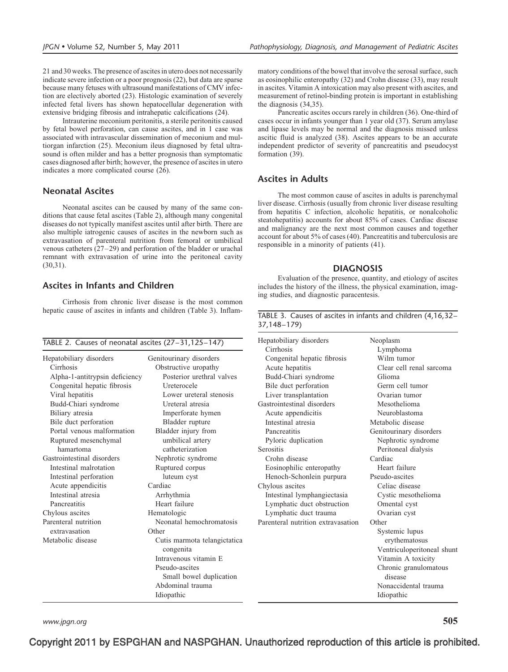21 and 30 weeks. The presence of ascites in utero does not necessarily indicate severe infection or a poor prognosis [\(22\)](#page-7-0), but data are sparse because many fetuses with ultrasound manifestations of CMV infection are electively aborted [\(23\).](#page-7-0) Histologic examination of severely infected fetal livers has shown hepatocellular degeneration with extensive bridging fibrosis and intrahepatic calcifications [\(24\).](#page-7-0)

Intrauterine meconium peritonitis, a sterile peritonitis caused by fetal bowel perforation, can cause ascites, and in 1 case was associated with intravascular dissemination of meconium and multiorgan infarction [\(25\)](#page-7-0). Meconium ileus diagnosed by fetal ultrasound is often milder and has a better prognosis than symptomatic cases diagnosed after birth; however, the presence of ascites in utero indicates a more complicated course [\(26\)](#page-7-0).

#### Neonatal Ascites

Neonatal ascites can be caused by many of the same conditions that cause fetal ascites (Table 2), although many congenital diseases do not typically manifest ascites until after birth. There are also multiple iatrogenic causes of ascites in the newborn such as extravasation of parenteral nutrition from femoral or umbilical venous catheters [\(27–29\)](#page-7-0) and perforation of the bladder or urachal remnant with extravasation of urine into the peritoneal cavity [\(30,31\)](#page-7-0).

# Ascites in Infants and Children

Cirrhosis from chronic liver disease is the most common hepatic cause of ascites in infants and children (Table 3). Inflam-

|                                |                                           | Carrhosis        |
|--------------------------------|-------------------------------------------|------------------|
| Hepatobiliary disorders        | Genitourinary disorders                   | Congenital       |
| Cirrhosis                      | Obstructive uropathy                      | Acute hepat      |
| Alpha-1-antitrypsin deficiency | Posterior urethral valves                 | Budd-Chiari      |
| Congenital hepatic fibrosis    | Ureterocele                               | Bile duct pe     |
| Viral hepatitis                | Lower ureteral stenosis                   | Liver transp     |
| Budd-Chiari syndrome           | Ureteral atresia                          | Gastrointestina  |
| Biliary atresia                | Imperforate hymen                         | Acute apper      |
| Bile duct perforation          | Bladder rupture                           | Intestinal at    |
| Portal venous malformation     | Bladder injury from                       | Pancreatitis     |
| Ruptured mesenchymal           | umbilical artery                          | Pyloric dup      |
| hamartoma                      | catheterization                           | <b>Serositis</b> |
| Gastrointestinal disorders     | Nephrotic syndrome                        | Crohn disea      |
| Intestinal malrotation         | Ruptured corpus                           | Eosinophilio     |
| Intestinal perforation         | luteum cyst                               | Henoch-Sch       |
| Acute appendicitis             | Cardiac                                   | Chylous ascite   |
| Intestinal atresia             | Arrhythmia                                | Intestinal ly    |
| Pancreatitis                   | Heart failure                             | Lymphatic        |
| Chylous ascites                | Hematologic                               | Lymphatic        |
| Parenteral nutrition           | Neonatal hemochromatosis                  | Parenteral nuti  |
| extravasation                  | Other                                     |                  |
| Metabolic disease              | Cutis marmota telangictatica<br>congenita |                  |
|                                | Intravenous vitamin E                     |                  |
|                                | Pseudo-ascites                            |                  |
|                                | Small bowel duplication                   |                  |
|                                | Abdominal trauma                          |                  |
|                                | Idiopathic                                |                  |

matory conditions of the bowel that involve the serosal surface, such as eosinophilic enteropathy [\(32\)](#page-7-0) and Crohn disease [\(33\),](#page-7-0) may result in ascites. Vitamin A intoxication may also present with ascites, and measurement of retinol-binding protein is important in establishing the diagnosis [\(34,35\).](#page-7-0)

Pancreatic ascites occurs rarely in children [\(36\)](#page-7-0). One-third of cases occur in infants younger than 1 year old [\(37\).](#page-7-0) Serum amylase and lipase levels may be normal and the diagnosis missed unless ascitic fluid is analyzed [\(38\).](#page-7-0) Ascites appears to be an accurate independent predictor of severity of pancreatitis and pseudocyst formation [\(39\).](#page-7-0)

### Ascites in Adults

The most common cause of ascites in adults is parenchymal liver disease. Cirrhosis (usually from chronic liver disease resulting from hepatitis C infection, alcoholic hepatitis, or nonalcoholic steatohepatitis) accounts for about 85% of cases. Cardiac disease and malignancy are the next most common causes and together account for about 5% of cases [\(40\).](#page-7-0) Pancreatitis and tuberculosis are responsible in a minority of patients [\(41\).](#page-7-0)

#### **DIAGNOSIS**

Evaluation of the presence, quantity, and etiology of ascites includes the history of the illness, the physical examination, imaging studies, and diagnostic paracentesis.

|             |  |  | TABLE 3. Causes of ascites in infants and children (4,16,32– |
|-------------|--|--|--------------------------------------------------------------|
| 37,148–179) |  |  |                                                              |

| Hepatobiliary disorders            | Neoplasm                         |
|------------------------------------|----------------------------------|
| Cirrhosis                          | Lymphoma                         |
| Congenital hepatic fibrosis        | Wilm tumor                       |
| Acute hepatitis                    | Clear cell renal sarcoma         |
| Budd-Chiari syndrome               | Glioma                           |
| Bile duct perforation              | Germ cell tumor                  |
| Liver transplantation              | Ovarian tumor                    |
| Gastrointestinal disorders         | Mesothelioma                     |
| Acute appendicitis                 | Neuroblastoma                    |
| Intestinal atresia                 | Metabolic disease                |
| Pancreatitis                       | Genitourinary disorders          |
| Pyloric duplication                | Nephrotic syndrome               |
| Serositis                          | Peritoneal dialysis              |
| Crohn disease                      | Cardiac                          |
| Eosinophilic enteropathy           | Heart failure                    |
| Henoch-Schonlein purpura           | Pseudo-ascites                   |
| Chylous ascites                    | Celiac disease                   |
| Intestinal lymphangiectasia        | Cystic mesothelioma              |
| Lymphatic duct obstruction         | Omental cyst                     |
| Lymphatic duct trauma              | Ovarian cyst                     |
| Parenteral nutrition extravasation | Other                            |
|                                    | Systemic lupus                   |
|                                    | erythematosus                    |
|                                    | Ventriculoperitoneal shunt       |
|                                    | Vitamin A toxicity               |
|                                    | Chronic granulomatous<br>disease |
|                                    | Nonaccidental trauma             |
|                                    |                                  |

www.jpgn.org  $505$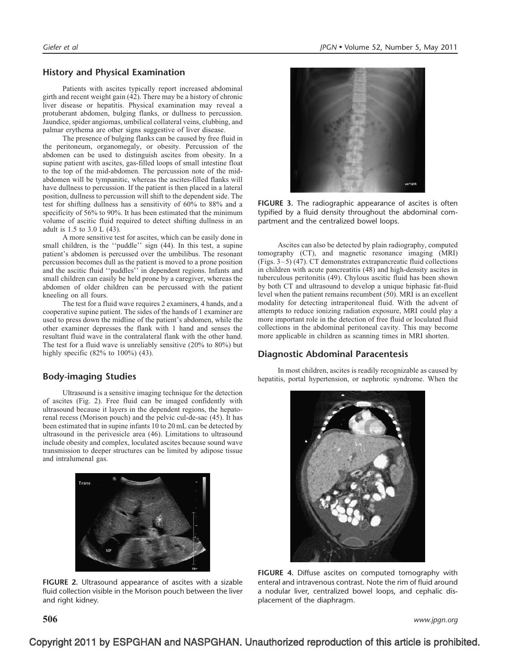# History and Physical Examination

Patients with ascites typically report increased abdominal girth and recent weight gain [\(42\).](#page-7-0) There may be a history of chronic liver disease or hepatitis. Physical examination may reveal a protuberant abdomen, bulging flanks, or dullness to percussion. Jaundice, spider angiomas, umbilical collateral veins, clubbing, and palmar erythema are other signs suggestive of liver disease.

The presence of bulging flanks can be caused by free fluid in the peritoneum, organomegaly, or obesity. Percussion of the abdomen can be used to distinguish ascites from obesity. In a supine patient with ascites, gas-filled loops of small intestine float to the top of the mid-abdomen. The percussion note of the midabdomen will be tympanitic, whereas the ascites-filled flanks will have dullness to percussion. If the patient is then placed in a lateral position, dullness to percussion will shift to the dependent side. The test for shifting dullness has a sensitivity of 60% to 88% and a specificity of 56% to 90%. It has been estimated that the minimum volume of ascitic fluid required to detect shifting dullness in an adult is 1.5 to 3.0 L [\(43\).](#page-7-0)

A more sensitive test for ascites, which can be easily done in small children, is the ''puddle'' sign [\(44\)](#page-7-0). In this test, a supine patient's abdomen is percussed over the umbilibus. The resonant percussion becomes dull as the patient is moved to a prone position and the ascitic fluid ''puddles'' in dependent regions. Infants and small children can easily be held prone by a caregiver, whereas the abdomen of older children can be percussed with the patient kneeling on all fours.

The test for a fluid wave requires 2 examiners, 4 hands, and a cooperative supine patient. The sides of the hands of 1 examiner are used to press down the midline of the patient's abdomen, while the other examiner depresses the flank with 1 hand and senses the resultant fluid wave in the contralateral flank with the other hand. The test for a fluid wave is unreliably sensitive (20% to 80%) but highly specific (82% to 100%) [\(43\)](#page-7-0).

# Body-imaging Studies

Ultrasound is a sensitive imaging technique for the detection of ascites (Fig. 2). Free fluid can be imaged confidently with ultrasound because it layers in the dependent regions, the hepatorenal recess (Morison pouch) and the pelvic cul-de-sac [\(45\)](#page-7-0). It has been estimated that in supine infants 10 to 20 mL can be detected by ultrasound in the perivesicle area [\(46\)](#page-7-0). Limitations to ultrasound include obesity and complex, loculated ascites because sound wave transmission to deeper structures can be limited by adipose tissue and intralumenal gas.



FIGURE 2. Ultrasound appearance of ascites with a sizable fluid collection visible in the Morison pouch between the liver and right kidney.



FIGURE 3. The radiographic appearance of ascites is often typified by a fluid density throughout the abdominal compartment and the centralized bowel loops.

Ascites can also be detected by plain radiography, computed tomography (CT), and magnetic resonance imaging (MRI) (Figs. 3–5) [\(47\)](#page-7-0). CT demonstrates extrapancreatic fluid collections in children with acute pancreatitis [\(48\)](#page-7-0) and high-density ascites in tuberculous peritonitis [\(49\).](#page-7-0) Chylous ascitic fluid has been shown by both CT and ultrasound to develop a unique biphasic fat-fluid level when the patient remains recumbent [\(50\).](#page-7-0) MRI is an excellent modality for detecting intraperitoneal fluid. With the advent of attempts to reduce ionizing radiation exposure, MRI could play a more important role in the detection of free fluid or loculated fluid collections in the abdominal peritoneal cavity. This may become more applicable in children as scanning times in MRI shorten.

## Diagnostic Abdominal Paracentesis

In most children, ascites is readily recognizable as caused by hepatitis, portal hypertension, or nephrotic syndrome. When the



FIGURE 4. Diffuse ascites on computed tomography with enteral and intravenous contrast. Note the rim of fluid around a nodular liver, centralized bowel loops, and cephalic displacement of the diaphragm.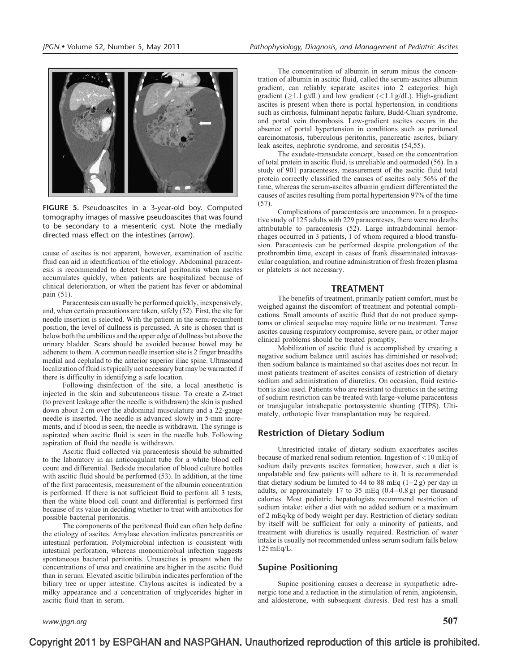

FIGURE 5. Pseudoascites in a 3-year-old boy. Computed tomography images of massive pseudoascites that was found to be secondary to a mesenteric cyst. Note the medially directed mass effect on the intestines (arrow).

cause of ascites is not apparent, however, examination of ascitic fluid can aid in identification of the etiology. Abdominal paracentesis is recommended to detect bacterial peritonitis when ascites accumulates quickly, when patients are hospitalized because of clinical deterioration, or when the patient has fever or abdominal pain [\(51\).](#page-7-0)

Paracentesis can usually be performed quickly, inexpensively, and, when certain precautions are taken, safely [\(52\)](#page-7-0). First, the site for needle insertion is selected. With the patient in the semi-recumbent position, the level of dullness is percussed. A site is chosen that is below both the umbilicus and the upper edge of dullness but above the urinary bladder. Scars should be avoided because bowel may be adherent to them. A common needle insertion site is 2 finger breadths medial and cephalad to the anterior superior iliac spine. Ultrasound localization of fluid is typically not necessary but may be warranted if there is difficulty in identifying a safe location.

Following disinfection of the site, a local anesthetic is injected in the skin and subcutaneous tissue. To create a Z-tract (to prevent leakage after the needle is withdrawn) the skin is pushed down about 2 cm over the abdominal musculature and a 22-gauge needle is inserted. The needle is advanced slowly in 5-mm increments, and if blood is seen, the needle is withdrawn. The syringe is aspirated when ascitic fluid is seen in the needle hub. Following aspiration of fluid the needle is withdrawn.

Ascitic fluid collected via paracentesis should be submitted to the laboratory in an anticoagulant tube for a white blood cell count and differential. Bedside inoculation of blood culture bottles with ascitic fluid should be performed [\(53\).](#page-7-0) In addition, at the time of the first paracentesis, measurement of the albumin concentration is performed. If there is not sufficient fluid to perform all 3 tests, then the white blood cell count and differential is performed first because of its value in deciding whether to treat with antibiotics for possible bacterial peritonitis.

The components of the peritoneal fluid can often help define the etiology of ascites. Amylase elevation indicates pancreatitis or intestinal perforation. Polymicrobial infection is consistent with intestinal perforation, whereas monomicrobial infection suggests spontaneous bacterial peritonitis. Uroascites is present when the concentrations of urea and creatinine are higher in the ascitic fluid than in serum. Elevated ascitic bilirubin indicates perforation of the biliary tree or upper intestine. Chylous ascites is indicated by a milky appearance and a concentration of triglycerides higher in ascitic fluid than in serum.

The concentration of albumin in serum minus the concentration of albumin in ascitic fluid, called the serum-ascites albumin gradient, can reliably separate ascites into 2 categories: high gradient ( $\geq$ 1.1 g/dL) and low gradient (<1.1 g/dL). High-gradient ascites is present when there is portal hypertension, in conditions such as cirrhosis, fulminant hepatic failure, Budd-Chiari syndrome, and portal vein thrombosis. Low-gradient ascites occurs in the absence of portal hypertension in conditions such as peritoneal carcinomatosis, tuberculous peritonitis, pancreatic ascites, biliary leak ascites, nephrotic syndrome, and serositis [\(54,55\).](#page-7-0)

The exudate-transudate concept, based on the concentration of total protein in ascitic fluid, is unreliable and outmoded [\(56\).](#page-7-0) In a study of 901 paracenteses, measurement of the ascitic fluid total protein correctly classified the causes of ascites only 56% of the time, whereas the serum-ascites albumin gradient differentiated the causes of ascites resulting from portal hypertension 97% of the time [\(57\)](#page-7-0).

Complications of paracentesis are uncommon. In a prospective study of 125 adults with 229 paracenteses, there were no deaths attributable to paracentesis [\(52\).](#page-7-0) Large intraabdominal hemorrhages occurred in 3 patients, 1 of whom required a blood transfusion. Paracentesis can be performed despite prolongation of the prothrombin time, except in cases of frank disseminated intravascular coagulation, and routine administration of fresh frozen plasma or platelets is not necessary.

#### TREATMENT

The benefits of treatment, primarily patient comfort, must be weighed against the discomfort of treatment and potential complications. Small amounts of ascitic fluid that do not produce symptoms or clinical sequelae may require little or no treatment. Tense ascites causing respiratory compromise, severe pain, or other major clinical problems should be treated promptly.

Mobilization of ascitic fluid is accomplished by creating a negative sodium balance until ascites has diminished or resolved; then sodium balance is maintained so that ascites does not recur. In most patients treatment of ascites consists of restriction of dietary sodium and administration of diuretics. On occasion, fluid restriction is also used. Patients who are resistant to diuretics in the setting of sodium restriction can be treated with large-volume paracentesis or transjugular intrahepatic portosystemic shunting (TIPS). Ultimately, orthotopic liver transplantation may be required.

## Restriction of Dietary Sodium

Unrestricted intake of dietary sodium exacerbates ascites because of marked renal sodium retention. Ingestion of <10 mEq of sodium daily prevents ascites formation; however, such a diet is unpalatable and few patients will adhere to it. It is recommended that dietary sodium be limited to 44 to 88 mEq  $(1-2 g)$  per day in adults, or approximately 17 to 35 mEq (0.4–0.8 g) per thousand calories. Most pediatric hepatologists recommend restriction of sodium intake: either a diet with no added sodium or a maximum of 2 mEq/kg of body weight per day. Restriction of dietary sodium by itself will be sufficient for only a minority of patients, and treatment with diuretics is usually required. Restriction of water intake is usually not recommended unless serum sodium falls below 125 mEq/L.

#### Supine Positioning

Supine positioning causes a decrease in sympathetic adrenergic tone and a reduction in the stimulation of renin, angiotensin, and aldosterone, with subsequent diuresis. Bed rest has a small

www.jpgn.org  $507$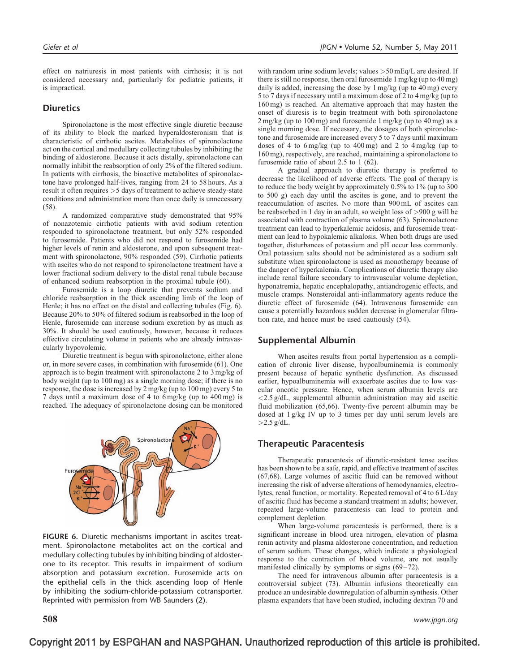effect on natriuresis in most patients with cirrhosis; it is not considered necessary and, particularly for pediatric patients, it is impractical.

### **Diuretics**

Spironolactone is the most effective single diuretic because of its ability to block the marked hyperaldosteronism that is characteristic of cirrhotic ascites. Metabolites of spironolactone act on the cortical and medullary collecting tubules by inhibiting the binding of aldosterone. Because it acts distally, spironolactone can normally inhibit the reabsorption of only 2% of the filtered sodium. In patients with cirrhosis, the bioactive metabolites of spironolactone have prolonged half-lives, ranging from 24 to 58 hours. As a result it often requires >5 days of treatment to achieve steady-state conditions and administration more than once daily is unnecessary [\(58\)](#page-8-0).

A randomized comparative study demonstrated that 95% of nonazotemic cirrhotic patients with avid sodium retention responded to spironolactone treatment, but only 52% responded to furosemide. Patients who did not respond to furosemide had higher levels of renin and aldosterone, and upon subsequent treatment with spironolactone, 90% responded [\(59\)](#page-8-0). Cirrhotic patients with ascites who do not respond to spironolactone treatment have a lower fractional sodium delivery to the distal renal tubule because of enhanced sodium reabsorption in the proximal tubule [\(60\).](#page-8-0)

Furosemide is a loop diuretic that prevents sodium and chloride reabsorption in the thick ascending limb of the loop of Henle; it has no effect on the distal and collecting tubules (Fig. 6). Because 20% to 50% of filtered sodium is reabsorbed in the loop of Henle, furosemide can increase sodium excretion by as much as 30%. It should be used cautiously, however, because it reduces effective circulating volume in patients who are already intravascularly hypovolemic.

Diuretic treatment is begun with spironolactone, either alone or, in more severe cases, in combination with furosemide [\(61\).](#page-8-0) One approach is to begin treatment with spironolactone 2 to 3 mg/kg of body weight (up to 100 mg) as a single morning dose; if there is no response, the dose is increased by 2 mg/kg (up to 100 mg) every 5 to 7 days until a maximum dose of 4 to 6 mg/kg (up to 400 mg) is reached. The adequacy of spironolactone dosing can be monitored



FIGURE 6. Diuretic mechanisms important in ascites treatment. Spironolactone metabolites act on the cortical and medullary collecting tubules by inhibiting binding of aldosterone to its receptor. This results in impairment of sodium absorption and potassium excretion. Furosemide acts on the epithelial cells in the thick ascending loop of Henle by inhibiting the sodium-chloride-potassium cotransporter. Reprinted with permission from WB Saunders [\(2\)](#page-7-0).

with random urine sodium levels; values >50 mEq/L are desired. If there is still no response, then oral furosemide 1 mg/kg (up to 40 mg) daily is added, increasing the dose by 1 mg/kg (up to 40 mg) every 5 to 7 days if necessary until a maximum dose of 2 to 4 mg/kg (up to 160 mg) is reached. An alternative approach that may hasten the onset of diuresis is to begin treatment with both spironolactone 2 mg/kg (up to 100 mg) and furosemide 1 mg/kg (up to 40 mg) as a single morning dose. If necessary, the dosages of both spironolactone and furosemide are increased every 5 to 7 days until maximum doses of 4 to  $6 \text{ mg/kg}$  (up to  $400 \text{ mg}$ ) and 2 to  $4 \text{ mg/kg}$  (up to 160 mg), respectively, are reached, maintaining a spironolactone to furosemide ratio of about 2.5 to 1 [\(62\)](#page-8-0).

A gradual approach to diuretic therapy is preferred to decrease the likelihood of adverse effects. The goal of therapy is to reduce the body weight by approximately 0.5% to 1% (up to 300 to 500 g) each day until the ascites is gone, and to prevent the reaccumulation of ascites. No more than 900 mL of ascites can be reabsorbed in 1 day in an adult, so weight loss of >900 g will be associated with contraction of plasma volume [\(63\)](#page-8-0). Spironolactone treatment can lead to hyperkalemic acidosis, and furosemide treatment can lead to hypokalemic alkalosis. When both drugs are used together, disturbances of potassium and pH occur less commonly. Oral potassium salts should not be administered as a sodium salt substitute when spironolactone is used as monotherapy because of the danger of hyperkalemia. Complications of diuretic therapy also include renal failure secondary to intravascular volume depletion, hyponatremia, hepatic encephalopathy, antiandrogenic effects, and muscle cramps. Nonsteroidal anti-inflammatory agents reduce the diuretic effect of furosemide [\(64\).](#page-8-0) Intravenous furosemide can cause a potentially hazardous sudden decrease in glomerular filtration rate, and hence must be used cautiously [\(54\)](#page-7-0).

#### Supplemental Albumin

When ascites results from portal hypertension as a complication of chronic liver disease, hypoalbuminemia is commonly present because of hepatic synthetic dysfunction. As discussed earlier, hypoalbuminemia will exacerbate ascites due to low vascular oncotic pressure. Hence, when serum albumin levels are  $\langle 2.5 \text{ g/dL}$ , supplemental albumin administration may aid ascitic fluid mobilization [\(65,66\)](#page-8-0). Twenty-five percent albumin may be dosed at 1 g/kg IV up to 3 times per day until serum levels are  $>2.5$  g/dL.

#### Therapeutic Paracentesis

Therapeutic paracentesis of diuretic-resistant tense ascites has been shown to be a safe, rapid, and effective treatment of ascites [\(67,68\).](#page-8-0) Large volumes of ascitic fluid can be removed without increasing the risk of adverse alterations of hemodynamics, electrolytes, renal function, or mortality. Repeated removal of 4 to 6 L/day of ascitic fluid has become a standard treatment in adults; however, repeated large-volume paracentesis can lead to protein and complement depletion.

When large-volume paracentesis is performed, there is a significant increase in blood urea nitrogen, elevation of plasma renin activity and plasma aldosterone concentration, and reduction of serum sodium. These changes, which indicate a physiological response to the contraction of blood volume, are not usually manifested clinically by symptoms or signs  $(69-72)$ .

The need for intravenous albumin after paracentesis is a controversial subject [\(73\).](#page-8-0) Albumin infusions theoretically can produce an undesirable downregulation of albumin synthesis. Other plasma expanders that have been studied, including dextran 70 and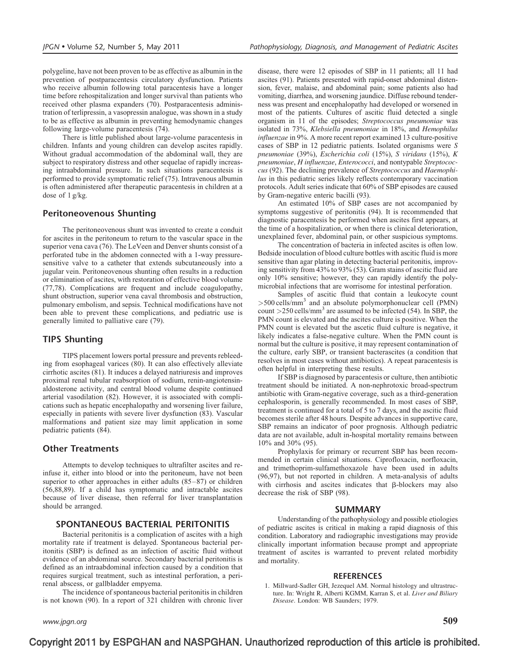<span id="page-6-0"></span>polygeline, have not been proven to be as effective as albumin in the prevention of postparacentesis circulatory dysfunction. Patients who receive albumin following total paracentesis have a longer time before rehospitalization and longer survival than patients who received other plasma expanders [\(70\).](#page-8-0) Postparacentesis administration of terlipressin, a vasopressin analogue, was shown in a study to be as effective as albumin in preventing hemodynamic changes following large-volume paracentesis [\(74\).](#page-8-0)

There is little published about large-volume paracentesis in children. Infants and young children can develop ascites rapidly. Without gradual accommodation of the abdominal wall, they are subject to respiratory distress and other sequelae of rapidly increasing intraabdominal pressure. In such situations paracentesis is performed to provide symptomatic relief [\(75\).](#page-8-0) Intravenous albumin is often administered after therapeutic paracentesis in children at a dose of 1 g/kg.

#### Peritoneovenous Shunting

The peritoneovenous shunt was invented to create a conduit for ascites in the peritoneum to return to the vascular space in the superior vena cava [\(76\)](#page-8-0). The LeVeen and Denver shunts consist of a perforated tube in the abdomen connected with a 1-way pressuresensitive valve to a catheter that extends subcutaneously into a jugular vein. Peritoneovenous shunting often results in a reduction or elimination of ascites, with restoration of effective blood volume [\(77,78\)](#page-8-0). Complications are frequent and include coagulopathy, shunt obstruction, superior vena caval thrombosis and obstruction, pulmonary embolism, and sepsis. Technical modifications have not been able to prevent these complications, and pediatric use is generally limited to palliative care [\(79\).](#page-8-0)

#### TIPS Shunting

TIPS placement lowers portal pressure and prevents rebleeding from esophageal varices [\(80\).](#page-8-0) It can also effectively alleviate cirrhotic ascites [\(81\)](#page-8-0). It induces a delayed natriuresis and improves proximal renal tubular reabsorption of sodium, renin-angiotensinaldosterone activity, and central blood volume despite continued arterial vasodilation [\(82\)](#page-8-0). However, it is associated with complications such as hepatic encephalopathy and worsening liver failure, especially in patients with severe liver dysfunction [\(83\)](#page-8-0). Vascular malformations and patient size may limit application in some pediatric patients [\(84\).](#page-8-0)

#### Other Treatments

Attempts to develop techniques to ultrafilter ascites and reinfuse it, either into blood or into the peritoneum, have not been superior to other approaches in either adults [\(85–87\)](#page-8-0) or children [\(56,88,89\)](#page-7-0). If a child has symptomatic and intractable ascites because of liver disease, then referral for liver transplantation should be arranged.

#### SPONTANEOUS BACTERIAL PERITONITIS

Bacterial peritonitis is a complication of ascites with a high mortality rate if treatment is delayed. Spontaneous bacterial peritonitis (SBP) is defined as an infection of ascitic fluid without evidence of an abdominal source. Secondary bacterial peritonitis is defined as an intraabdominal infection caused by a condition that requires surgical treatment, such as intestinal perforation, a perirenal abscess, or gallbladder empyema.

The incidence of spontaneous bacterial peritonitis in children is not known [\(90\).](#page-8-0) In a report of 321 children with chronic liver

www.jpgn.org  $509$ 

disease, there were 12 episodes of SBP in 11 patients; all 11 had ascites [\(91\).](#page-8-0) Patients presented with rapid-onset abdominal distension, fever, malaise, and abdominal pain; some patients also had vomiting, diarrhea, and worsening jaundice. Diffuse rebound tenderness was present and encephalopathy had developed or worsened in most of the patients. Cultures of ascitic fluid detected a single organism in 11 of the episodes; Streptococcus pneumoniae was isolated in 73%, Klebsiella pneumoniae in 18%, and Hemophilus influenzae in 9%. A more recent report examined 13 culture-positive cases of SBP in 12 pediatric patients. Isolated organisms were S pneumoniae (39%), Escherichia coli (15%), S viridans (15%), K pneumoniae, H influenzae, Enterococci, and nontypable Streptococcus [\(92\)](#page-8-0). The declining prevalence of Streptococcus and Haemophilus in this pediatric series likely reflects contemporary vaccination protocols. Adult series indicate that 60% of SBP episodes are caused by Gram-negative enteric bacilli [\(93\)](#page-8-0).

An estimated 10% of SBP cases are not accompanied by symptoms suggestive of peritonitis [\(94\).](#page-8-0) It is recommended that diagnostic paracentesis be performed when ascites first appears, at the time of a hospitalization, or when there is clinical deterioration, unexplained fever, abdominal pain, or other suspicious symptoms.

The concentration of bacteria in infected ascites is often low. Bedside inoculation of blood culture bottles with ascitic fluid is more sensitive than agar plating in detecting bacterial peritonitis, improving sensitivity from 43% to 93% [\(53\)](#page-7-0). Gram stains of ascitic fluid are only 10% sensitive; however, they can rapidly identify the polymicrobial infections that are worrisome for intestinal perforation.

Samples of ascitic fluid that contain a leukocyte count >500 cells/mm<sup>3</sup> and an absolute polymorphonuclear cell (PMN) count  $>250$  cells/mm<sup>3</sup> are assumed to be infected [\(54\).](#page-7-0) In SBP, the PMN count is elevated and the ascites culture is positive. When the PMN count is elevated but the ascetic fluid culture is negative, it likely indicates a false-negative culture. When the PMN count is normal but the culture is positive, it may represent contamination of the culture, early SBP, or transient bacterascites (a condition that resolves in most cases without antibiotics). A repeat paracentesis is often helpful in interpreting these results.

If SBP is diagnosed by paracentesis or culture, then antibiotic treatment should be initiated. A non-nephrotoxic broad-spectrum antibiotic with Gram-negative coverage, such as a third-generation cephalosporin, is generally recommended. In most cases of SBP, treatment is continued for a total of 5 to 7 days, and the ascitic fluid becomes sterile after 48 hours. Despite advances in supportive care, SBP remains an indicator of poor prognosis. Although pediatric data are not available, adult in-hospital mortality remains between 10% and 30% [\(95\)](#page-8-0).

Prophylaxis for primary or recurrent SBP has been recommended in certain clinical situations. Ciprofloxacin, norfloxacin, and trimethoprim-sulfamethoxazole have been used in adults [\(96,97\),](#page-8-0) but not reported in children. A meta-analysis of adults with cirrhosis and ascites indicates that *b*-blockers may also decrease the risk of SBP [\(98\)](#page-8-0).

#### SUMMARY

Understanding of the pathophysiology and possible etiologies of pediatric ascites is critical in making a rapid diagnosis of this condition. Laboratory and radiographic investigations may provide clinically important information because prompt and appropriate treatment of ascites is warranted to prevent related morbidity and mortality.

#### REFERENCES

1. Millward-Sadler GH, Jezequel AM. Normal histology and ultrastructure. In: Wright R, Alberti KGMM, Karran S, et al. Liver and Biliary Disease. London: WB Saunders; 1979.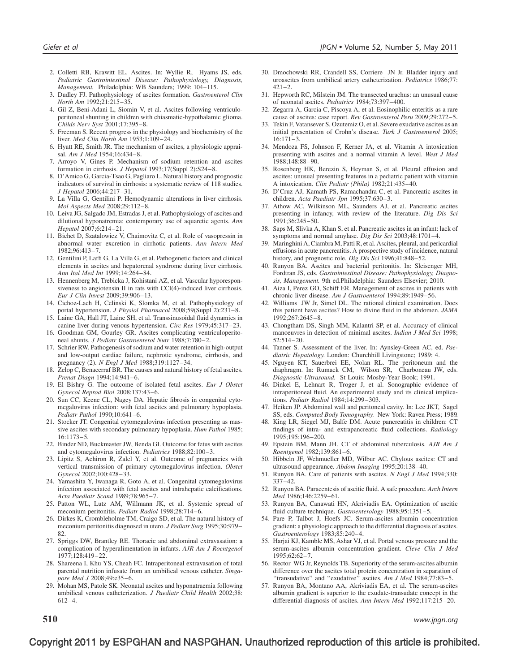- <span id="page-7-0"></span>2. Colletti RB, Krawitt EL. Ascites. In: Wyllie R, Hyams JS, eds. Pediatric Gastrointestinal Disease: Pathophysiology, Diagnosis, Management. Philadelphia: WB Saunders; 1999: 104–115.
- 3. Dudley FJ. Pathophysiology of ascites formation. Gastroenterol Clin North Am 1992;21:215–35.
- 4. Gil Z, Beni-Adani L, Siomin V, et al. Ascites following ventriculoperitoneal shunting in children with chiasmatic-hypothalamic glioma. Childs Nerv Syst 2001;17:395–8.
- 5. Freeman S. Recent progress in the physiology and biochemistry of the liver. Med Clin North Am 1953;1:109–24.
- 6. Hyatt RE, Smith JR. The mechanism of ascites, a physiologic appraisal. Am J Med 1954;16:434–8.
- 7. Arroyo V, Gines P. Mechanism of sodium retention and ascites formation in cirrhosis. J Hepatol 1993;17(Suppl 2):S24–8.
- 8. D'Amico G, Garcia-Tsao G, Pagliaro L. Natural history and prognostic indicators of survival in cirrhosis: a systematic review of 118 studies. J Hepatol 2006;44:217–31.
- 9. La Villa G, Gentilini P. Hemodynamic alterations in liver cirrhosis. Mol Aspects Med 2008;29:112–8.
- 10. Leiva JG, Salgado JM, Estradas J, et al. Pathophysiology of ascites and dilutional hyponatremia: contemporary use of aquaretic agents. Ann Hepatol 2007;6:214–21.
- 11. Bichet D, Szatalowicz V, Chaimovitz C, et al. Role of vasopressin in abnormal water excretion in cirrhotic patients. Ann Intern Med 1982;96:413–7.
- 12. Gentilini P, Laffi G, La Villa G, et al. Pathogenetic factors and clinical elements in ascites and hepatorenal syndrome during liver cirrhosis. Ann Ital Med Int 1999;14:264–84.
- 13. Hennenberg M, Trebicka J, Kohistani AZ, et al. Vascular hyporesponsiveness to angiotensin II in rats with CCl(4)-induced liver cirrhosis. Eur J Clin Invest 2009;39:906–13.
- 14. Cichoz-Lach H, Celinski K, Slomka M, et al. Pathophysiology of portal hypertension. *J Physiol Pharmacol* 2008;59(Suppl 2):231-8.
- 15. Laine GA, Hall JT, Laine SH, et al. Transsinusoidal fluid dynamics in canine liver during venous hypertension. Circ Res 1979;45:317–23.
- 16. Goodman GM, Gourley GR. Ascites complicating ventriculoperitoneal shunts. J Pediatr Gastroenterol Nutr 1988;7:780–2.
- 17. Schrier RW. Pathogenesis of sodium and water retention in high-output and low-output cardiac failure, nephrotic syndrome, cirrhosis, and pregnancy (2). N Engl J Med 1988;319:1127–34.
- 18. Zelop C, Benacerraf BR. The causes and natural history of fetal ascites. Prenat Diagn 1994;14:941–6.
- 19. El Bishry G. The outcome of isolated fetal ascites. Eur J Obstet Gynecol Reprod Biol 2008;137:43–6.
- 20. Sun CC, Keene CL, Nagey DA. Hepatic fibrosis in congenital cytomegalovirus infection: with fetal ascites and pulmonary hypoplasia. Pediatr Pathol 1990;10:641–6.
- 21. Stocker JT. Congenital cytomegalovirus infection presenting as massive ascites with secondary pulmonary hypoplasia. Hum Pathol 1985; 16:1173–5.
- 22. Binder ND, Buckmaster JW, Benda GI. Outcome for fetus with ascites and cytomegalovirus infection. Pediatrics 1988;82:100–3.
- 23. Lipitz S, Achiron R, Zalel Y, et al. Outcome of pregnancies with vertical transmission of primary cytomegalovirus infection. Obstet Gynecol 2002;100:428–33.
- 24. Yamashita Y, Iwanaga R, Goto A, et al. Congenital cytomegalovirus infection associated with fetal ascites and intrahepatic calcifications. Acta Paediatr Scand 1989;78:965–7.
- 25. Patton WL, Lutz AM, Willmann JK, et al. Systemic spread of meconium peritonitis. Pediatr Radiol 1998;28:714–6.
- 26. Dirkes K, Crombleholme TM, Craigo SD, et al. The natural history of meconium peritonitis diagnosed in utero. J Pediatr Surg 1995;30:979– 82.
- 27. Spriggs DW, Brantley RE. Thoracic and abdominal extravasation: a complication of hyperalimentation in infants. AJR Am J Roentgenol 1977;128:419–22.
- 28. Shareena I, Khu YS, Cheah FC. Intraperitoneal extravasation of total parental nutrition infusate from an umbilical venous catheter. Singapore Med J 2008;49:e35–6.
- 29. Mohan MS, Patole SK. Neonatal ascites and hyponatraemia following umbilical venous catheterization. J Paediatr Child Health 2002;38: 612–4.
- 30. Dmochowski RR, Crandell SS, Corriere JN Jr. Bladder injury and uroascites from umbilical artery catheterization. Pediatrics 1986;77:  $421 - 2$ .
- 31. Hepworth RC, Milstein JM. The transected urachus: an unusual cause of neonatal ascites. Pediatrics 1984;73:397–400.
- 32. Zegarra A, Garcia C, Piscoya A, et al. Eosinophilic enteritis as a rare cause of ascites: case report. Rev Gastroenterol Peru 2009;29:272–5.
- 33. Tekin F, Vatansever S, Ozutemiz O, et al. Severe exudative ascites as an initial presentation of Crohn's disease. Turk J Gastroenterol 2005; 16:171–3.
- 34. Mendoza FS, Johnson F, Kerner JA, et al. Vitamin A intoxication presenting with ascites and a normal vitamin A level. West J Med 1988;148:88–90.
- 35. Rosenberg HK, Berezin S, Heyman S, et al. Pleural effusion and ascites: unusual presenting features in a pediatric patient with vitamin A intoxication. Clin Pediatr (Phila) 1982;21:435–40.
- 36. D'Cruz AJ, Kamath PS, Ramachandra C, et al. Pancreatic ascites in children. Acta Paediatr Jpn 1995;37:630-3.
- 37. Athow AC, Wilkinson ML, Saunders AJ, et al. Pancreatic ascites presenting in infancy, with review of the literature. Dig Dis Sci 1991;36:245–50.
- 38. Saps M, Slivka A, Khan S, et al. Pancreatic ascites in an infant: lack of symptoms and normal amylase. Dig Dis Sci 2003;48:1701-4.
- 39. Maringhini A, Ciambra M, Patti R, et al. Ascites, pleural, and pericardial effusions in acute pancreatitis. A prospective study of incidence, natural history, and prognostic role. Dig Dis Sci 1996;41:848–52.
- 40. Runyon BA. Ascites and bacterial peritonitis. In: Sleisenger MH, Fordtran JS, eds. Gastrointestinal Disease: Pathophysiology, Diagnosis, Management. 9th ed.Philadelphia: Saunders Elsevier; 2010.
- 41. Aiza I, Perez GO, Schiff ER. Management of ascites in patients with chronic liver disease. Am J Gastroenterol 1994:89:1949-56.
- 42. Williams JW Jr, Simel DL. The rational clinical examination. Does this patient have ascites? How to divine fluid in the abdomen. JAMA  $1992.267.2645 - 8$
- 43. Chongtham DS, Singh MM, Kalantri SP, et al. Accuracy of clinical manoeuvres in detection of minimal ascites. *Indian J Med Sci* 1998: 52:514–20.
- 44. Tanner S. Assessment of the liver. In: Aynsley-Green AC, ed. Paediatric Hepatology. London: Churchhill Livingstone; 1989: 4.
- 45. Nguyen KT, Sauerbrei EE, Nolan RL. The peritoneum and the diaphragm. In: Rumack CM, Wilson SR, Charboneau JW, eds. Diagnostic Ultrasound. St Louis: Mosby-Year Book; 1991.
- 46. Dinkel E, Lehnart R, Troger J, et al. Sonographic evidence of intraperitoneal fluid. An experimental study and its clinical implications. Pediatr Radiol 1984;14:299–303.
- 47. Heiken JP. Abdominal wall and peritoneal cavity. In: Lee JKT, Sagel SS, eds. Computed Body Tomography. New York: Raven Press; 1989.
- 48. King LR, Siegel MJ, Balfe DM. Acute pancreatitis in children: CT findings of intra- and extrapancreatic fluid collections. Radiology 1995;195:196–200.
- 49. Epstein BM, Mann JH. CT of abdominal tuberculosis. AJR Am J Roentgenol 1982;139:861–6.
- 50. Hibbeln JF, Wehmueller MD, Wilbur AC. Chylous ascites: CT and ultrasound appearance. Abdom Imaging 1995;20:138–40.
- 51. Runyon BA. Care of patients with ascites. N Engl J Med 1994;330: 337–42.
- 52. Runyon BA. Paracentesis of ascitic fluid. A safe procedure. Arch Intern Med 1986;146:2259–61.
- 53. Runyon BA, Canawati HN, Akriviadis EA. Optimization of ascitic fluid culture technique. Gastroenterology 1988;95:1351-5.
- 54. Pare P, Talbot J, Hoefs JC. Serum-ascites albumin concentration gradient: a physiologic approach to the differential diagnosis of ascites. Gastroenterology 1983;85:240–4.
- 55. Harjai KJ, Kamble MS, Ashar VJ, et al. Portal venous pressure and the serum-ascites albumin concentration gradient. Cleve Clin J Med 1995;62:62–7.
- 56. Rector WG Jr, Reynolds TB. Superiority of the serum-ascites albumin difference over the ascites total protein concentration in separation of "transudative" and "exudative" ascites. Am J Med 1984;77:83-5.
- 57. Runyon BA, Montano AA, Akriviadis EA, et al. The serum-ascites albumin gradient is superior to the exudate-transudate concept in the differential diagnosis of ascites. Ann Intern Med 1992;117:215–20.

 $\bf 510$  www.jpgn.org www.jpgn.org www.jpgn.org www.jpgn.org www.jpgn.org www.jpgn.org www.jpgn.org  $\,$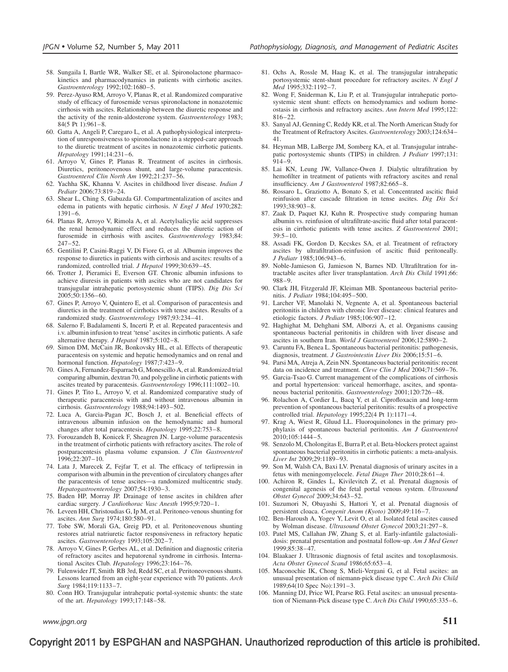- <span id="page-8-0"></span>58. Sungaila I, Bartle WR, Walker SE, et al. Spironolactone pharmacokinetics and pharmacodynamics in patients with cirrhotic ascites. Gastroenterology 1992;102:1680–5.
- 59. Perez-Ayuso RM, Arroyo V, Planas R, et al. Randomized comparative study of efficacy of furosemide versus spironolactone in nonazotemic cirrhosis with ascites. Relationship between the diuretic response and the activity of the renin-aldosterone system. Gastroenterology 1983; 84(5 Pt 1):961–8.
- 60. Gatta A, Angeli P, Caregaro L, et al. A pathophysiological interpretation of unresponsiveness to spironolactone in a stepped-care approach to the diuretic treatment of ascites in nonazotemic cirrhotic patients. Hepatology 1991;14:231–6.
- 61. Arroyo V, Gines P, Planas R. Treatment of ascites in cirrhosis. Diuretics, peritoneovenous shunt, and large-volume paracentesis. Gastroenterol Clin North Am 1992;21:237–56.
- 62. Yachha SK, Khanna V. Ascites in childhood liver disease. Indian J Pediatr 2006;73:819–24.
- 63. Shear L, Ching S, Gabuzda GJ. Compartmentalization of ascites and edema in patients with hepatic cirrhosis. N Engl J Med 1970;282: 1391–6.
- 64. Planas R, Arroyo V, Rimola A, et al. Acetylsalicylic acid suppresses the renal hemodynamic effect and reduces the diuretic action of furosemide in cirrhosis with ascites. Gastroenterology 1983;84: 247–52.
- 65. Gentilini P, Casini-Raggi V, Di Fiore G, et al. Albumin improves the response to diuretics in patients with cirrhosis and ascites: results of a randomized, controlled trial. J Hepatol 1999;30:639-45.
- 66. Trotter J, Pieramici E, Everson GT. Chronic albumin infusions to achieve diuresis in patients with ascites who are not candidates for transjugular intrahepatic portosystemic shunt (TIPS). Dig Dis Sci 2005;50:1356–60.
- 67. Gines P, Arroyo V, Quintero E, et al. Comparison of paracentesis and diuretics in the treatment of cirrhotics with tense ascites. Results of a randomized study. Gastroenterology 1987;93:234–41.
- 68. Salerno F, Badalamenti S, Incerti P, et al. Repeated paracentesis and i.v. albumin infusion to treat 'tense' ascites in cirrhotic patients. A safe alternative therapy. J Hepatol 1987;5:102–8.
- 69. Simon DM, McCain JR, Bonkovsky HL, et al. Effects of therapeutic paracentesis on systemic and hepatic hemodynamics and on renal and hormonal function. Hepatology 1987;7:423-9.
- 70. Gines A, Fernandez-Esparrach G, Monescillo A, et al. Randomized trial comparing albumin, dextran 70, and polygeline in cirrhotic patients with ascites treated by paracentesis. Gastroenterology 1996;111:1002–10.
- 71. Gines P, Tito L, Arroyo V, et al. Randomized comparative study of therapeutic paracentesis with and without intravenous albumin in cirrhosis. Gastroenterology 1988;94:1493–502.
- 72. Luca A, Garcia-Pagan JC, Bosch J, et al. Beneficial effects of intravenous albumin infusion on the hemodynamic and humoral changes after total paracentesis. Hepatology 1995;22:753–8.
- 73. Forouzandeh B, Konicek F, Sheagren JN. Large-volume paracentesis in the treatment of cirrhotic patients with refractory ascites. The role of postparacentesis plasma volume expansion. J Clin Gastroenterol 1996;22:207–10.
- 74. Lata J, Marecek Z, Fejfar T, et al. The efficacy of terlipressin in comparison with albumin in the prevention of circulatory changes after the paracentesis of tense ascites—a randomized multicentric study. Hepatogastroenterology 2007;54:1930–3.
- 75. Baden HP, Morray JP. Drainage of tense ascites in children after cardiac surgery. J Cardiothorac Vasc Anesth 1995;9:720–1.
- 76. Leveen HH, Christoudias G, Ip M, et al. Peritoneo-venous shunting for ascites. Ann Surg 1974;180:580–91.
- 77. Tobe SW, Morali GA, Greig PD, et al. Peritoneovenous shunting restores atrial natriuretic factor responsiveness in refractory hepatic ascites. Gastroenterology 1993;105:202–7.
- 78. Arroyo V, Gines P, Gerbes AL, et al. Definition and diagnostic criteria of refractory ascites and hepatorenal syndrome in cirrhosis. International Ascites Club. Hepatology 1996;23:164–76.
- 79. Fulenwider JT, Smith RB 3rd, Redd SC, et al. Peritoneovenous shunts. Lessons learned from an eight-year experience with 70 patients. Arch Surg 1984;119:1133–7.
- 80. Conn HO. Transjugular intrahepatic portal-systemic shunts: the state of the art. Hepatology 1993;17:148–58.
- 81. Ochs A, Rossle M, Haag K, et al. The transjugular intrahepatic portosystemic stent-shunt procedure for refractory ascites. N Engl J Med 1995;332:1192–7.
- 82. Wong F, Sniderman K, Liu P, et al. Transjugular intrahepatic portosystemic stent shunt: effects on hemodynamics and sodium homeostasis in cirrhosis and refractory ascites. Ann Intern Med 1995;122: 816–22.
- 83. Sanyal AJ, Genning C, Reddy KR, et al. The North American Study for the Treatment of Refractory Ascites. Gastroenterology 2003;124:634– 41.
- 84. Heyman MB, LaBerge JM, Somberg KA, et al. Transjugular intrahepatic portosystemic shunts (TIPS) in children. J Pediatr 1997;131: 914–9.
- 85. Lai KN, Leung JW, Vallance-Owen J. Dialytic ultrafiltration by hemofilter in treatment of patients with refractory ascites and renal insufficiency. Am J Gastroenterol 1987;82:665–8.
- 86. Rossaro L, Graziotto A, Bonato S, et al. Concentrated ascitic fluid reinfusion after cascade filtration in tense ascites. Dig Dis Sci 1993;38:903–8.
- 87. Zaak D, Paquet KJ, Kuhn R. Prospective study comparing human albumin vs. reinfusion of ultrafiltrate-ascitic fluid after total paracentesis in cirrhotic patients with tense ascites. Z Gastroenterol 2001; 39:5–10.
- 88. Assadi FK, Gordon D, Kecskes SA, et al. Treatment of refractory ascites by ultrafiltration-reinfusion of ascitic fluid peritoneally. J Pediatr 1985;106:943–6.
- 89. Noble-Jamieson G, Jamieson N, Barnes ND. Ultrafiltration for intractable ascites after liver transplantation. Arch Dis Child 1991;66: 988–9.
- 90. Clark JH, Fitzgerald JF, Kleiman MB. Spontaneous bacterial peritonitis. J Pediatr 1984;104:495–500.
- 91. Larcher VF, Manolaki N, Vegnente A, et al. Spontaneous bacterial peritonitis in children with chronic liver disease: clinical features and etiologic factors. J Pediatr 1985;106:907–12.
- 92. Haghighat M, Dehghani SM, Alborzi A, et al. Organisms causing spontaneous bacterial peritonitis in children with liver disease and ascites in southern Iran. World J Gastroenterol 2006;12:5890–2.
- 93. Caruntu FA, Benea L. Spontaneous bacterial peritonitis: pathogenesis, diagnosis, treatment. J Gastrointestin Liver Dis 2006;15:51-6.
- 94. Parsi MA, Atreja A, Zein NN. Spontaneous bacterial peritonitis: recent data on incidence and treatment. Cleve Clin J Med 2004;71:569–76.
- 95. Garcia-Tsao G. Current management of the complications of cirrhosis and portal hypertension: variceal hemorrhage, ascites, and spontaneous bacterial peritonitis. Gastroenterology 2001;120:726–48.
- 96. Rolachon A, Cordier L, Bacq Y, et al. Ciprofloxacin and long-term prevention of spontaneous bacterial peritonitis: results of a prospective controlled trial. *Hepatology* 1995;22(4 Pt 1):1171-4.
- 97. Krag A, Wiest R, Gluud LL. Fluoroquinolones in the primary prophylaxis of spontaneous bacterial peritonitis. Am J Gastroenterol 2010;105:1444–5.
- 98. Senzolo M, Cholongitas E, Burra P, et al. Beta-blockers protect against spontaneous bacterial peritonitis in cirrhotic patients: a meta-analysis. Liver Int 2009;29:1189–93.
- 99. Son M, Walsh CA, Baxi LV. Prenatal diagnosis of urinary ascites in a fetus with meningomyelocele. Fetal Diagn Ther 2010;28:61–4.
- 100. Achiron R, Gindes L, Kivilevitch Z, et al. Prenatal diagnosis of congenital agenesis of the fetal portal venous system. Ultrasound Obstet Gynecol 2009;34:643–52.
- 101. Suzumori N, Obayashi S, Hattori Y, et al. Prenatal diagnosis of persistent cloaca. Congenit Anom (Kyoto) 2009;49:116–7.
- 102. Ben-Haroush A, Yogev Y, Levit O, et al. Isolated fetal ascites caused by Wolman disease. Ultrasound Obstet Gynecol 2003;21:297–8.
- 103. Patel MS, Callahan JW, Zhang S, et al. Early-infantile galactosialidosis: prenatal presentation and postnatal follow-up. Am J Med Genet 1999;85:38–47.
- 104. Blaakaer J. Ultrasonic diagnosis of fetal ascites and toxoplasmosis. Acta Obstet Gynecol Scand 1986;65:653–4.
- 105. Maconochie IK, Chong S, Mieli-Vergani G, et al. Fetal ascites: an unusual presentation of niemann-pick disease type C. Arch Dis Child 1989;64(10 Spec No):1391–3.
- 106. Manning DJ, Price WI, Pearse RG. Fetal ascites: an unusual presentation of Niemann-Pick disease type C. Arch Dis Child 1990;65:335-6.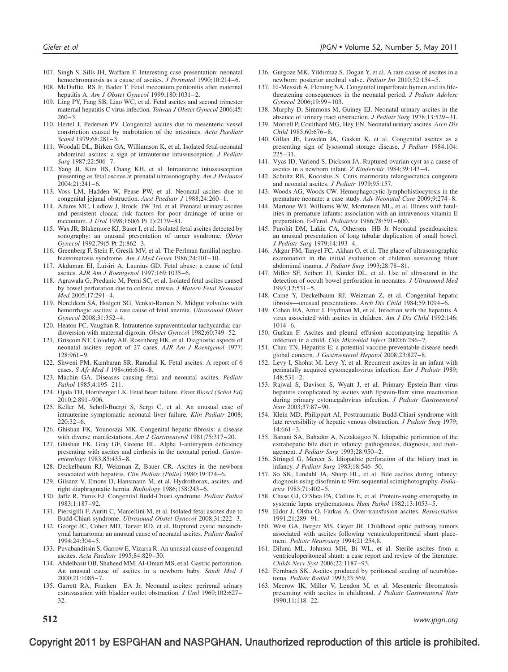- 107. Singh S, Sills JH, Waffarn F. Interesting case presentation: neonatal hemochromatosis as a cause of ascites. *J Perinatol* 1990;10:214-6.
- 108. McDuffie RS Jr, Bader T. Fetal meconium peritonitis after maternal hepatitis A. Am J Obstet Gynecol 1999;180:1031–2.
- 109. Ling PY, Fang SB, Liao WC, et al. Fetal ascites and second trimester maternal hepatitis C virus infection. Taiwan J Obstet Gynecol 2006;45:  $260 - 3$ .
- 110. Hertel J, Pedersen PV. Congenital ascites due to mesenteric vessel constriction caused by malrotation of the intestines. Acta Paediatr Scand 1979;68:281–3.
- 111. Woodall DL, Birken GA, Williamson K, et al. Isolated fetal-neonatal abdominal ascites: a sign of intrauterine intussusception. J Pediatr Surg 1987;22:506–7.
- 112. Yang JI, Kim HS, Chang KH, et al. Intrauterine intussusception presenting as fetal ascites at prenatal ultrasonography. Am J Perinatol 2004;21:241–6.
- 113. Voss LM, Hadden W, Pease PW, et al. Neonatal ascites due to congenital jejunal obstruction. Aust Paediatr J 1988;24:260-1.
- 114. Adams MC, Ludlow J, Brock JW 3rd, et al. Prenatal urinary ascites and persistent cloaca: risk factors for poor drainage of urine or meconium. J Urol 1998;160(6 Pt 1):2179–81.
- 115. Wax JR, Blakemore KJ, Baser I, et al. Isolated fetal ascites detected by sonography: an unusual presentation of turner syndrome. Obstet Gynecol 1992;79(5 Pt 2):862–3.
- 116. Greenberg F, Stein F, Gresik MV, et al. The Perlman familial nephroblastomatosis syndrome. Am J Med Genet 1986;24:101–10.
- 117. Akduman EI, Luisiri A, Launius GD. Fetal abuse: a cause of fetal ascites. AJR Am J Roentgenol 1997;169:1035–6.
- 118. Agrawala G, Predanic M, Perni SC, et al. Isolated fetal ascites caused by bowel perforation due to colonic atresia. J Matern Fetal Neonatal Med 2005;17:291–4.
- 119. Noreldeen SA, Hodgett SG, Venkat-Raman N. Midgut volvulus with hemorrhagic ascites: a rare cause of fetal anemia. Ultrasound Obstet Gynecol 2008;31:352–4.
- 120. Heaton FC, Vaughan R. Intrauterine supraventricular tachycardia: cardioversion with maternal digoxin. Obstet Gynecol 1982;60:749–52.
- 121. Griscom NT, Colodny AH, Rosenberg HK, et al. Diagnostic aspects of neonatal ascites: report of 27 cases. AJR Am J Roentgenol 1977; 128:961–9.
- 122. Shweni PM, Kambaran SR, Ramdial K. Fetal ascites. A report of 6 cases. S Afr Med J 1984;66:616–8.
- 123. Machin GA. Diseases causing fetal and neonatal ascites. Pediatr Pathol 1985;4:195–211.
- 124. Ojala TH, Hornberger LK. Fetal heart failure. Front Biosci (Schol Ed) 2010;2:891–906.
- 125. Keller M, Scholl-Buergi S, Sergi C, et al. An unusual case of intrauterine symptomatic neonatal liver failure. Klin Padiatr 2008; 220:32–6.
- 126. Ghishan FK, Younoszai MK. Congenital hepatic fibrosis: a disease with diverse manifestations. Am J Gastroenterol 1981;75:317-20.
- 127. Ghishan FK, Gray GF, Greene HL. Alpha 1-antitrypsin deficiency presenting with ascites and cirrhosis in the neonatal period. Gastroenterology 1983;85:435–8.
- 128. Deckelbaum RJ, Weizman Z, Bauer CR. Ascites in the newborn associated with hepatitis. Clin Pediatr (Phila) 1980;19:374–6.
- 129. Gilsanz V, Emons D, Hansmann M, et al. Hydrothorax, ascites, and right diaphragmatic hernia. Radiology 1986;158:243–6.
- 130. Jaffe R, Yunis EJ. Congenital Budd-Chiari syndrome. Pediatr Pathol 1983;1:187–92.
- 131. Piersigilli F, Auriti C, Marcellini M, et al. Isolated fetal ascites due to Budd-Chiari syndrome. Ultrasound Obstet Gynecol 2008;31:222–3.
- 132. George JC, Cohen MD, Tarver RD, et al. Ruptured cystic mesenchymal hamartoma: an unusual cause of neonatal ascites. Pediatr Radiol 1994;24:304–5.
- 133. Puvabanditsin S, Garrow E, Vizarra R. An unusual cause of congenital ascites. Acta Paediatr 1995;84:829–30.
- 134. Abdelbasit OB, Shaheed MM, Al-Omari MS, et al. Gastric perforation. An unusual cause of ascites in a newborn baby. Saudi Med J 2000;21:1085–7.
- 135. Garrett RA, Franken EA Jr. Neonatal ascites: perirenal urinary extravasation with bladder outlet obstruction. J Urol 1969;102:627– 32.
- 136. Gurgoze MK, Yildirmaz S, Dogan Y, et al. A rare cause of ascites in a newborn: posterior urethral valve. Pediatr Int 2010;52:154–5.
- 137. El-Messidi A, Fleming NA. Congenital imperforate hymen and its lifethreatening consequences in the neonatal period. J Pediatr Adolesc Gynecol 2006;19:99–103.
- 138. Murphy D, Simmons M, Guiney EJ. Neonatal urinary ascites in the absence of urinary tract obstruction. J Pediatr Surg 1978;13:529–31.
- 139. Morrell P, Coulthard MG, Hey EN. Neonatal urinary ascites. Arch Dis Child 1985;60:676–8.
- 140. Gillan JE, Lowden JA, Gaskin K, et al. Congenital ascites as a presenting sign of lysosomal storage disease. J Pediatr 1984;104:  $225 - 31$ .
- 141. Vyas ID, Variend S, Dickson JA. Ruptured ovarian cyst as a cause of ascites in a newborn infant. Z Kinderchir 1984;39:143–4.
- 142. Schultz RB, Kocoshis S. Cutis marmorata telangiectatica congenita and neonatal ascites. J Pediatr 1979;95:157.
- 143. Woods AG, Woods CW. Hemophagocytic lymphohistiocytosis in the premature neonate: a case study. Adv Neonatal Care 2009;9:274–8.
- 144. Martone WJ, Williams WW, Mortensen ML, et al. Illness with fatalities in premature infants: association with an intravenous vitamin E preparation, E-Ferol. Pediatrics 1986;78:591–600.
- 145. Purohit DM, Lakin CA, Othersen HB Jr. Neonatal pseudoascites: an unusual presentation of long tubular duplication of small bowel. J Pediatr Surg 1979;14:193–4.
- 146. Akgur FM, Tanyel FC, Akhan O, et al. The place of ultrasonographic examination in the initial evaluation of children sustaining blunt abdominal trauma. J Pediatr Surg 1993;28:78–81.
- 147. Miller SF, Seibert JJ, Kinder DL, et al. Use of ultrasound in the detection of occult bowel perforation in neonates. J Ultrasound Med 1993;12:531–5.
- 148. Caine Y, Deckelbaum RJ, Weizman Z, et al. Congenital hepatic fibrosis—unusual presentations. Arch Dis Child 1984;59:1094–6.
- 149. Cohen HA, Amir J, Frydman M, et al. Infection with the hepatitis A virus associated with ascites in children. Am J Dis Child 1992;146: 1014–6.
- 150. Gurkan F. Ascites and pleural effusion accompanying hepatitis A infection in a child. Clin Microbiol Infect 2000;6:286–7.
- 151. Chau TN. Hepatitis E: a potential vaccine-preventable disease needs global concern. J Gastroenterol Hepatol 2008;23:827–8.
- 152. Levy I, Shohat M, Levy Y, et al. Recurrent ascites in an infant with perinatally acquired cytomegalovirus infection. Eur J Pediatr 1989; 148:531–2.
- 153. Rajwal S, Davison S, Wyatt J, et al. Primary Epstein-Barr virus hepatitis complicated by ascites with Epstein-Barr virus reactivation during primary cytomegalovirus infection. J Pediatr Gastroenterol Nutr 2003;37:87–90.
- 154. Klein MD, Philippart AI. Posttraumatic Budd-Chiari syndrome with late reversibility of hepatic venous obstruction. *J Pediatr Surg* 1979; 14:661–3.
- 155. Banani SA, Bahador A, Nezakatgoo N. Idiopathic perforation of the extrahepatic bile duct in infancy: pathogenesis, diagnosis, and management. J Pediatr Surg 1993;28:950–2.
- 156. Stringel G, Mercer S. Idiopathic perforation of the biliary tract in infancy. J Pediatr Surg 1983;18:546–50.
- 157. So SK, Lindahl JA, Sharp HL, et al. Bile ascites during infancy: diagnosis using disofenin tc 99m sequential scintiphotography. Pediatrics 1983;71:402–5.
- 158. Chase GJ, O'Shea PA, Collins E, et al. Protein-losing enteropathy in systemic lupus erythematosus. Hum Pathol 1982;13:1053-5.
- 159. Eldor J, Olsha O, Farkas A. Over-transfusion ascites. Resuscitation 1991;21:289–91.
- 160. West GA, Berger MS, Geyer JR. Childhood optic pathway tumors associated with ascites following ventriculoperitoneal shunt placement. Pediatr Neurosurg 1994;21:254,8.
- 161. Diluna ML, Johnson MH, Bi WL, et al. Sterile ascites from a ventriculoperitoneal shunt: a case report and review of the literature. Childs Nerv Syst 2006;22:1187–93.
- 162. Fernbach SK. Ascites produced by peritoneal seeding of neuroblastoma. Pediatr Radiol 1993;23:569.
- 163. Mecrow IK, Miller V, Lendon M, et al. Mesenteric fibromatosis presenting with ascites in childhood. J Pediatr Gastroenterol Nutr 1990;11:118–22.

 $512$  www.jpgn.org www.jpgn.org www.jpgn.org www.jpgn.org www.jpgn.org  $\,$